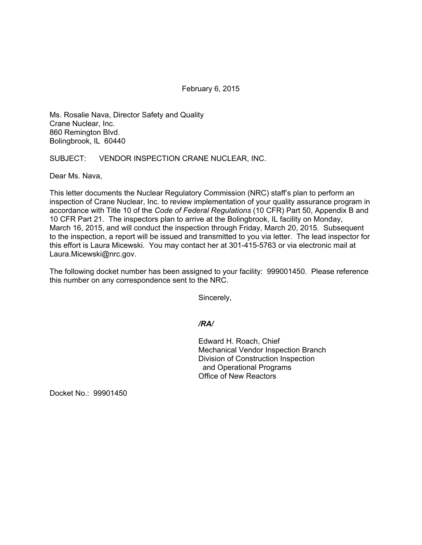February 6, 2015

Ms. Rosalie Nava, Director Safety and Quality Crane Nuclear, Inc. 860 Remington Blvd. Bolingbrook, IL 60440

SUBJECT: VENDOR INSPECTION CRANE NUCLEAR, INC.

Dear Ms. Nava,

This letter documents the Nuclear Regulatory Commission (NRC) staff's plan to perform an inspection of Crane Nuclear, Inc. to review implementation of your quality assurance program in accordance with Title 10 of the *Code of Federal Regulations* (10 CFR) Part 50, Appendix B and 10 CFR Part 21. The inspectors plan to arrive at the Bolingbrook, IL facility on Monday, March 16, 2015, and will conduct the inspection through Friday, March 20, 2015. Subsequent to the inspection, a report will be issued and transmitted to you via letter. The lead inspector for this effort is Laura Micewski. You may contact her at 301-415-5763 or via electronic mail at Laura.Micewski@nrc.gov.

The following docket number has been assigned to your facility: 999001450. Please reference this number on any correspondence sent to the NRC.

Sincerely,

*/RA/* 

 Edward H. Roach, Chief Mechanical Vendor Inspection Branch Division of Construction Inspection and Operational Programs Office of New Reactors

Docket No.: 99901450